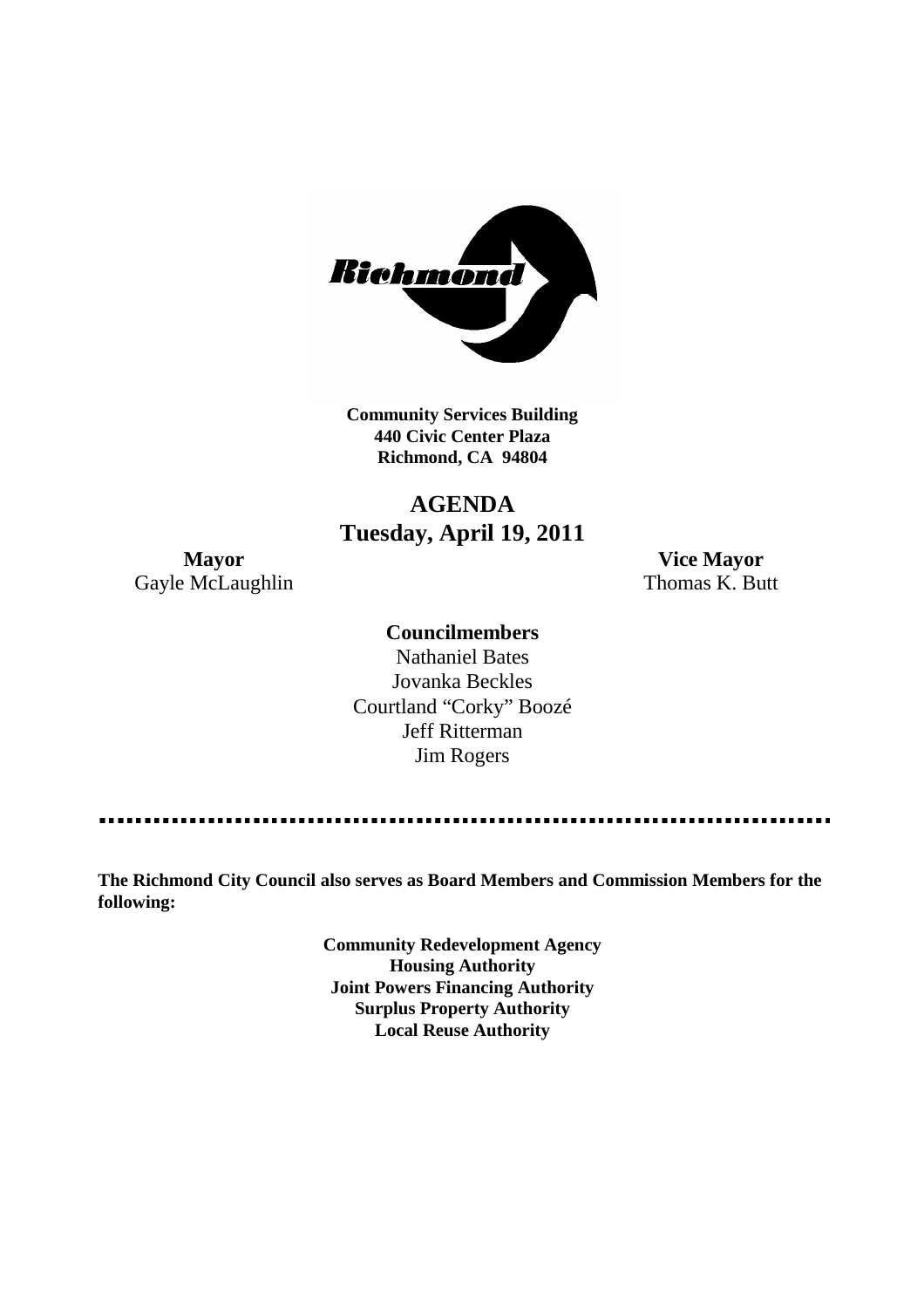

**Community Services Building 440 Civic Center Plaza Richmond, CA 94804**

# **AGENDA Tuesday, April 19, 2011**

Gayle McLaughlin Thomas K. Butt

**Mayor Vice Mayor**

### **Councilmembers**

Nathaniel Bates Jovanka Beckles Courtland "Corky" Boozé Jeff Ritterman Jim Rogers

**The Richmond City Council also serves as Board Members and Commission Members for the following:**

> **Community Redevelopment Agency Housing Authority Joint Powers Financing Authority Surplus Property Authority Local Reuse Authority**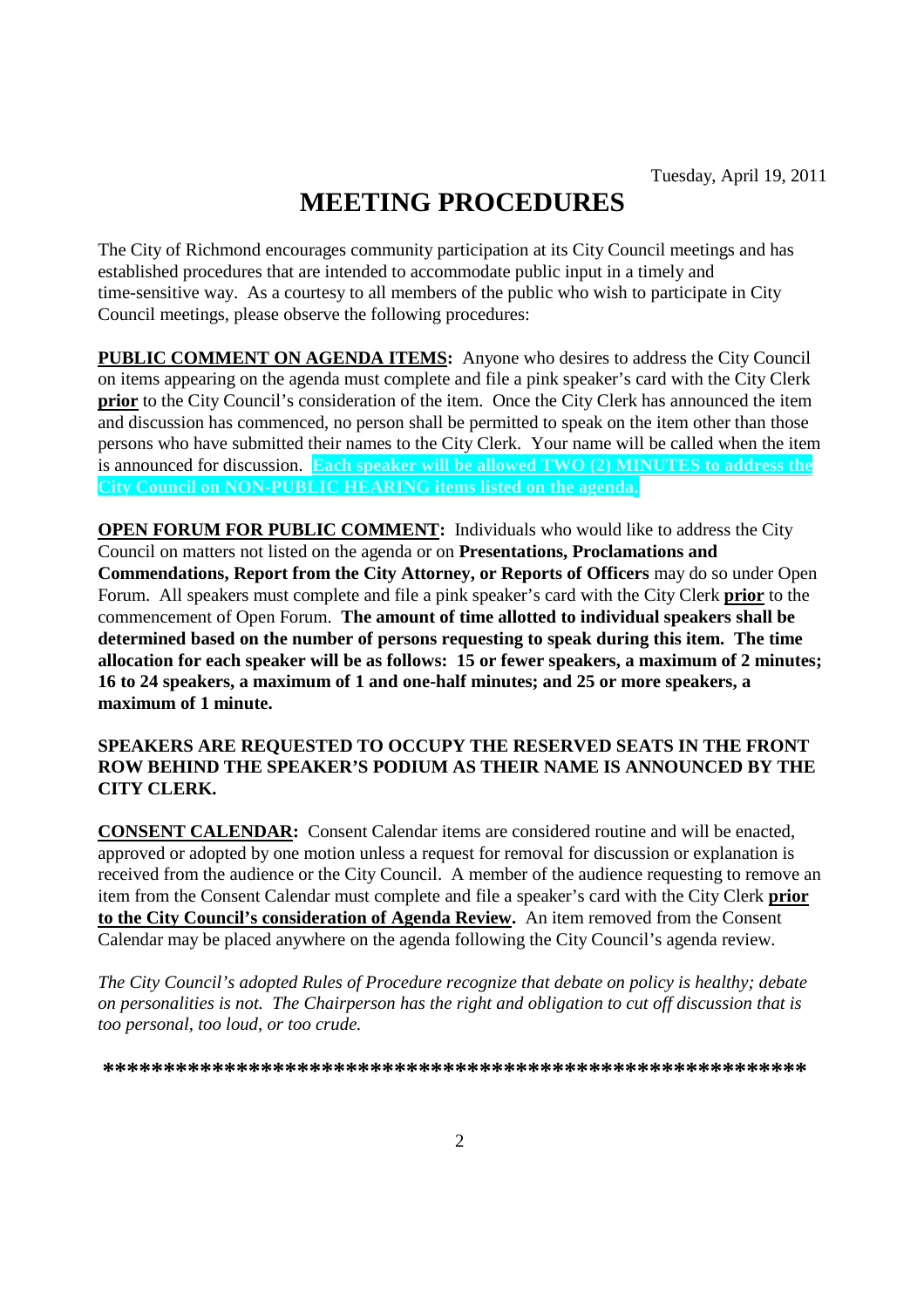# **MEETING PROCEDURES**

The City of Richmond encourages community participation at its City Council meetings and has established procedures that are intended to accommodate public input in a timely and time-sensitive way. As a courtesy to all members of the public who wish to participate in City Council meetings, please observe the following procedures:

**PUBLIC COMMENT ON AGENDA ITEMS:** Anyone who desires to address the City Council on items appearing on the agenda must complete and file a pink speaker's card with the City Clerk **prior** to the City Council's consideration of the item. Once the City Clerk has announced the item and discussion has commenced, no person shall be permitted to speak on the item other than those persons who have submitted their names to the City Clerk. Your name will be called when the item is announced for discussion. **Each speaker will be allowed TWO (2) MINUTES to address the City Council on NON-PUBLIC HEARING items listed on the agenda.**

**OPEN FORUM FOR PUBLIC COMMENT:** Individuals who would like to address the City Council on matters not listed on the agenda or on **Presentations, Proclamations and Commendations, Report from the City Attorney, or Reports of Officers** may do so under Open Forum. All speakers must complete and file a pink speaker's card with the City Clerk **prior** to the commencement of Open Forum. **The amount of time allotted to individual speakers shall be determined based on the number of persons requesting to speak during this item. The time allocation for each speaker will be as follows: 15 or fewer speakers, a maximum of 2 minutes; 16 to 24 speakers, a maximum of 1 and one-half minutes; and 25 or more speakers, a maximum of 1 minute.**

#### **SPEAKERS ARE REQUESTED TO OCCUPY THE RESERVED SEATS IN THE FRONT ROW BEHIND THE SPEAKER'S PODIUM AS THEIR NAME IS ANNOUNCED BY THE CITY CLERK.**

**CONSENT CALENDAR:** Consent Calendar items are considered routine and will be enacted, approved or adopted by one motion unless a request for removal for discussion or explanation is received from the audience or the City Council. A member of the audience requesting to remove an item from the Consent Calendar must complete and file a speaker's card with the City Clerk **prior to the City Council's consideration of Agenda Review.** An item removed from the Consent Calendar may be placed anywhere on the agenda following the City Council's agenda review.

*The City Council's adopted Rules of Procedure recognize that debate on policy is healthy; debate on personalities is not. The Chairperson has the right and obligation to cut off discussion that is too personal, too loud, or too crude.*

**\*\*\*\*\*\*\*\*\*\*\*\*\*\*\*\*\*\*\*\*\*\*\*\*\*\*\*\*\*\*\*\*\*\*\*\*\*\*\*\*\*\*\*\*\*\*\*\*\*\*\*\*\*\*\*\*\*\***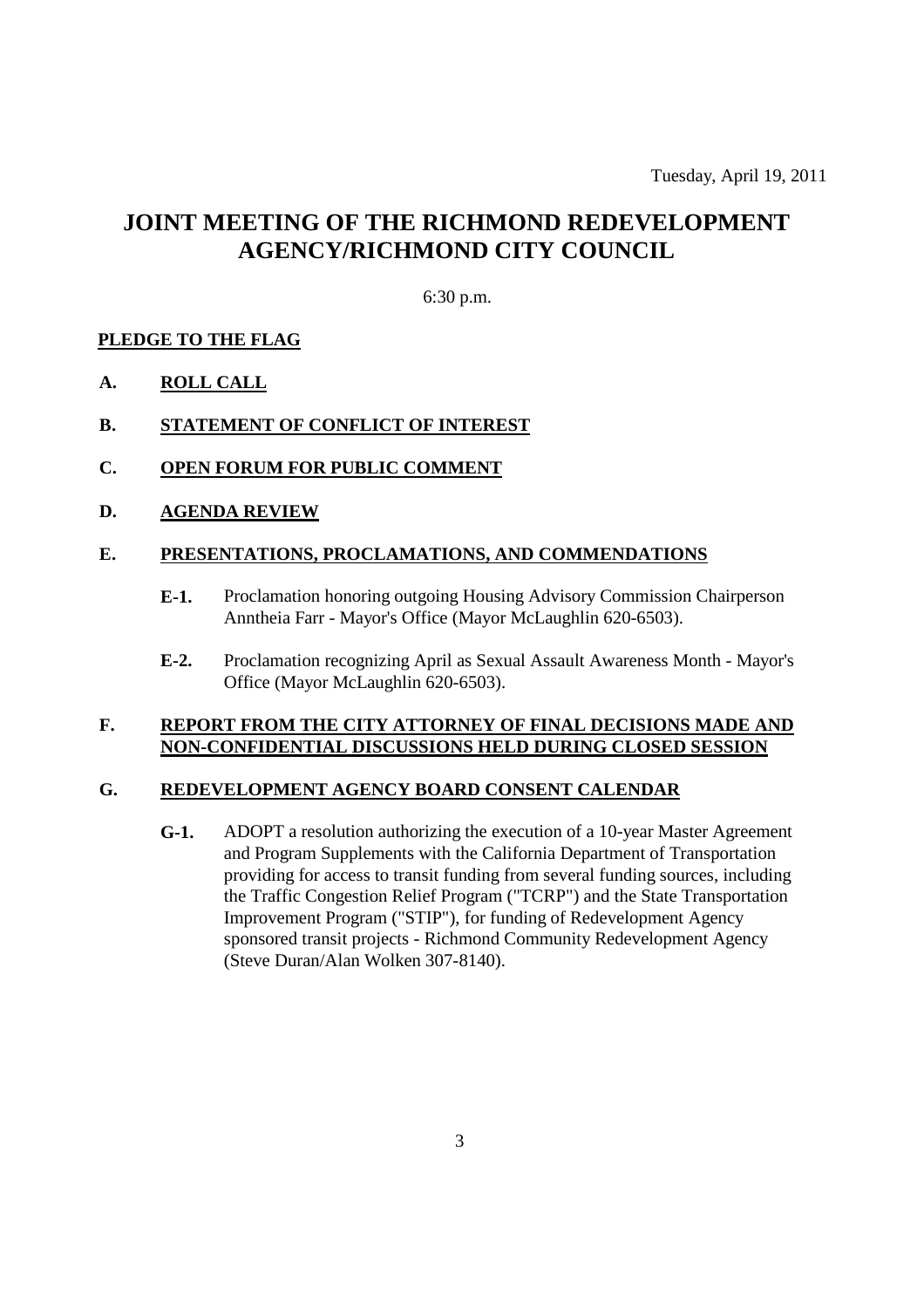# **JOINT MEETING OF THE RICHMOND REDEVELOPMENT AGENCY/RICHMOND CITY COUNCIL**

#### 6:30 p.m.

#### **PLEDGE TO THE FLAG**

**A. ROLL CALL**

#### **B. STATEMENT OF CONFLICT OF INTEREST**

- **C. OPEN FORUM FOR PUBLIC COMMENT**
- **D. AGENDA REVIEW**

#### **E. PRESENTATIONS, PROCLAMATIONS, AND COMMENDATIONS**

- **E-1.** Proclamation honoring outgoing Housing Advisory Commission Chairperson Anntheia Farr - Mayor's Office (Mayor McLaughlin 620-6503).
- **E-2.** Proclamation recognizing April as Sexual Assault Awareness Month Mayor's Office (Mayor McLaughlin 620-6503).

#### **F. REPORT FROM THE CITY ATTORNEY OF FINAL DECISIONS MADE AND NON-CONFIDENTIAL DISCUSSIONS HELD DURING CLOSED SESSION**

#### **G. REDEVELOPMENT AGENCY BOARD CONSENT CALENDAR**

**G-1.** ADOPT a resolution authorizing the execution of a 10-year Master Agreement and Program Supplements with the California Department of Transportation providing for access to transit funding from several funding sources, including the Traffic Congestion Relief Program ("TCRP") and the State Transportation Improvement Program ("STIP"), for funding of Redevelopment Agency sponsored transit projects - Richmond Community Redevelopment Agency (Steve Duran/Alan Wolken 307-8140).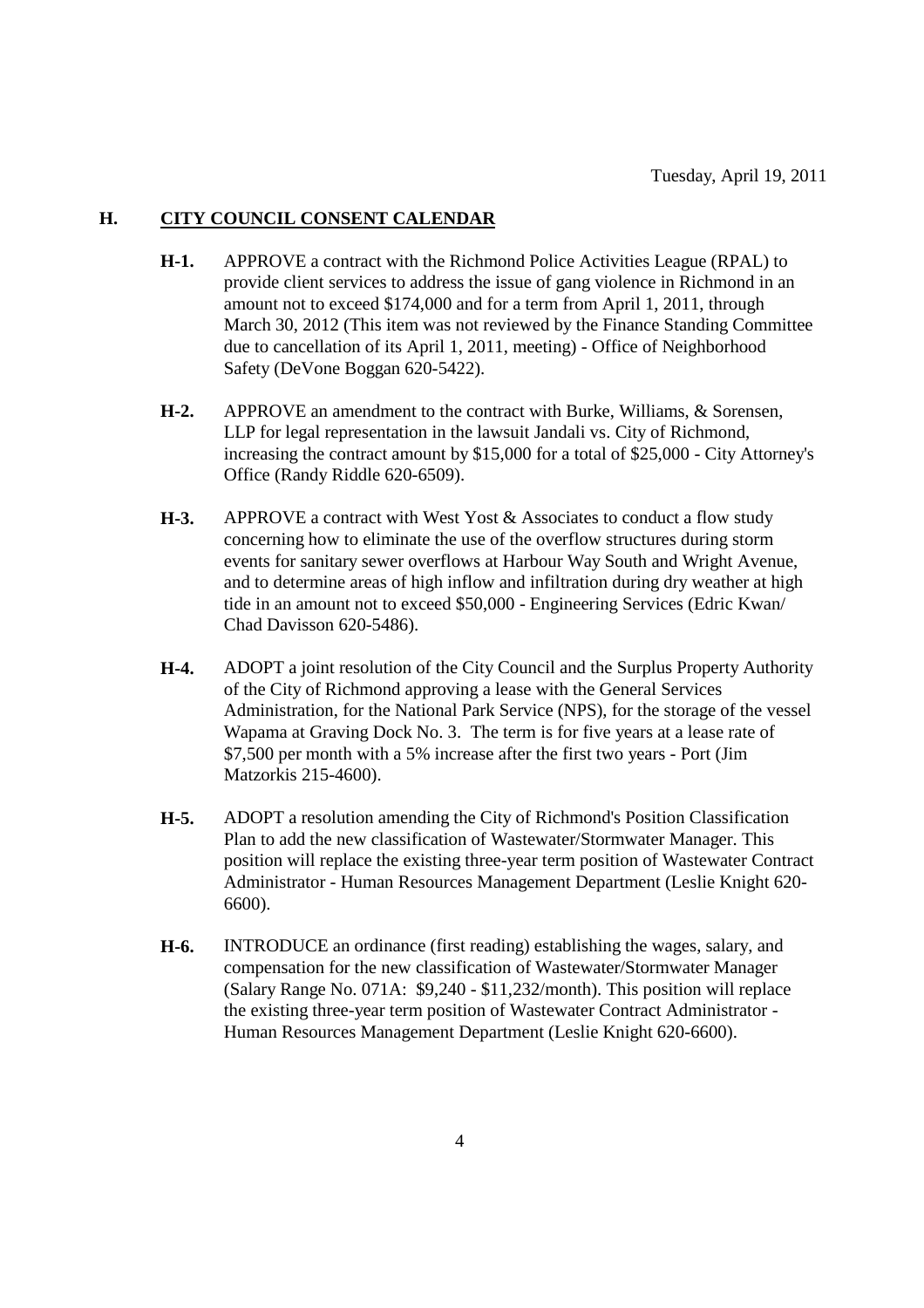#### **H. CITY COUNCIL CONSENT CALENDAR**

- **H-1.** APPROVE a contract with the Richmond Police Activities League (RPAL) to provide client services to address the issue of gang violence in Richmond in an amount not to exceed \$174,000 and for a term from April 1, 2011, through March 30, 2012 (This item was not reviewed by the Finance Standing Committee due to cancellation of its April 1, 2011, meeting) - Office of Neighborhood Safety (DeVone Boggan 620-5422).
- **H-2.** APPROVE an amendment to the contract with Burke, Williams, & Sorensen, LLP for legal representation in the lawsuit Jandali vs. City of Richmond, increasing the contract amount by \$15,000 for a total of \$25,000 - City Attorney's Office (Randy Riddle 620-6509).
- **H-3.** APPROVE a contract with West Yost & Associates to conduct a flow study concerning how to eliminate the use of the overflow structures during storm events for sanitary sewer overflows at Harbour Way South and Wright Avenue, and to determine areas of high inflow and infiltration during dry weather at high tide in an amount not to exceed \$50,000 - Engineering Services (Edric Kwan/ Chad Davisson 620-5486).
- **H-4.** ADOPT a joint resolution of the City Council and the Surplus Property Authority of the City of Richmond approving a lease with the General Services Administration, for the National Park Service (NPS), for the storage of the vessel Wapama at Graving Dock No. 3. The term is for five years at a lease rate of \$7,500 per month with a 5% increase after the first two years - Port (Jim Matzorkis 215-4600).
- **H-5.** ADOPT a resolution amending the City of Richmond's Position Classification Plan to add the new classification of Wastewater/Stormwater Manager. This position will replace the existing three-year term position of Wastewater Contract Administrator - Human Resources Management Department (Leslie Knight 620- 6600).
- **H-6.** INTRODUCE an ordinance (first reading) establishing the wages, salary, and compensation for the new classification of Wastewater/Stormwater Manager (Salary Range No. 071A: \$9,240 - \$11,232/month). This position will replace the existing three-year term position of Wastewater Contract Administrator - Human Resources Management Department (Leslie Knight 620-6600).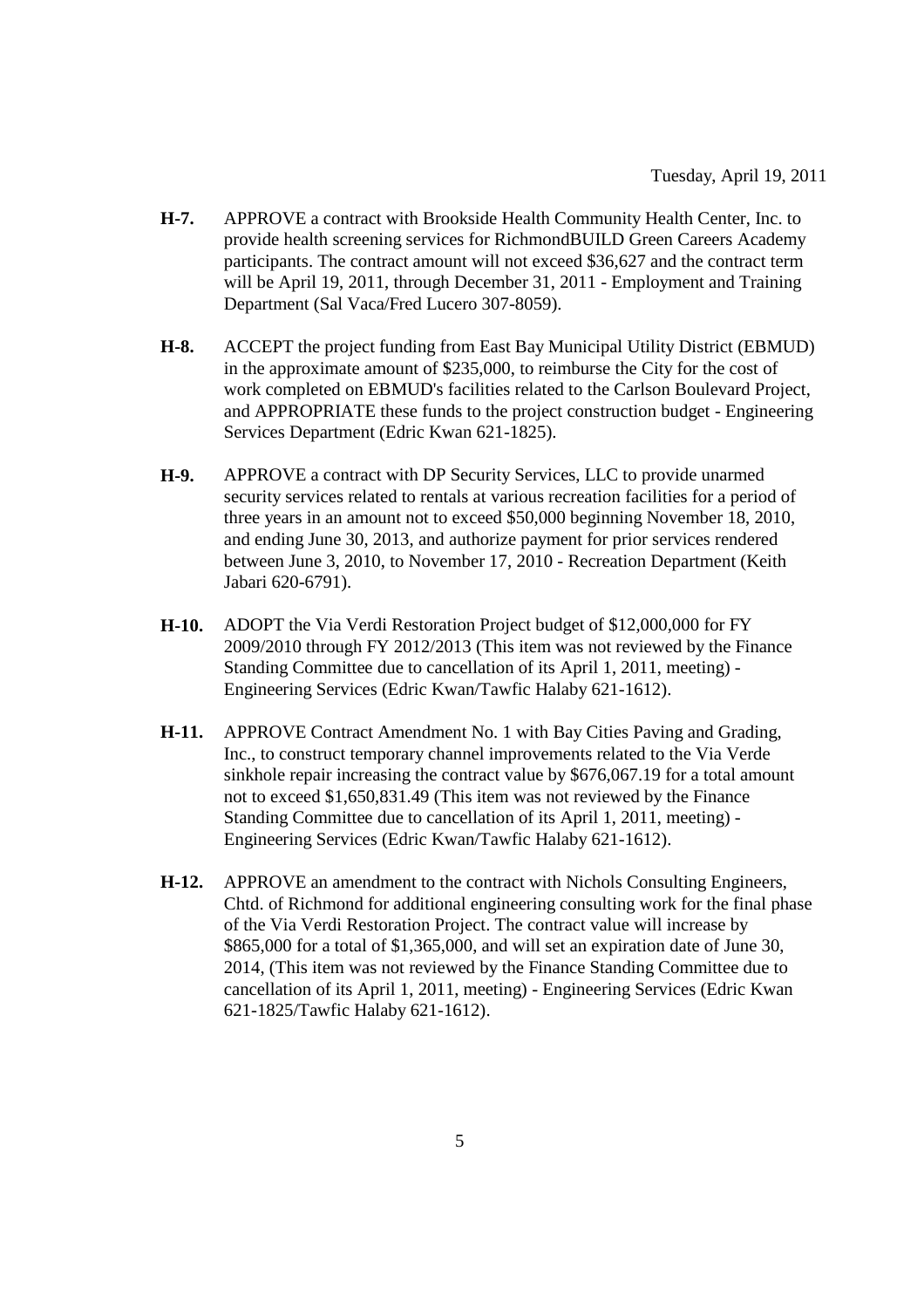- **H-7.** APPROVE a contract with Brookside Health Community Health Center, Inc. to provide health screening services for RichmondBUILD Green Careers Academy participants. The contract amount will not exceed \$36,627 and the contract term will be April 19, 2011, through December 31, 2011 - Employment and Training Department (Sal Vaca/Fred Lucero 307-8059).
- **H-8.** ACCEPT the project funding from East Bay Municipal Utility District (EBMUD) in the approximate amount of \$235,000, to reimburse the City for the cost of work completed on EBMUD's facilities related to the Carlson Boulevard Project, and APPROPRIATE these funds to the project construction budget - Engineering Services Department (Edric Kwan 621-1825).
- **H-9.** APPROVE a contract with DP Security Services, LLC to provide unarmed security services related to rentals at various recreation facilities for a period of three years in an amount not to exceed \$50,000 beginning November 18, 2010, and ending June 30, 2013, and authorize payment for prior services rendered between June 3, 2010, to November 17, 2010 - Recreation Department (Keith Jabari 620-6791).
- **H-10.** ADOPT the Via Verdi Restoration Project budget of \$12,000,000 for FY 2009/2010 through FY 2012/2013 (This item was not reviewed by the Finance Standing Committee due to cancellation of its April 1, 2011, meeting) - Engineering Services (Edric Kwan/Tawfic Halaby 621-1612).
- **H-11.** APPROVE Contract Amendment No. 1 with Bay Cities Paving and Grading, Inc., to construct temporary channel improvements related to the Via Verde sinkhole repair increasing the contract value by \$676,067.19 for a total amount not to exceed \$1,650,831.49 (This item was not reviewed by the Finance Standing Committee due to cancellation of its April 1, 2011, meeting) - Engineering Services (Edric Kwan/Tawfic Halaby 621-1612).
- **H-12.** APPROVE an amendment to the contract with Nichols Consulting Engineers, Chtd. of Richmond for additional engineering consulting work for the final phase of the Via Verdi Restoration Project. The contract value will increase by \$865,000 for a total of \$1,365,000, and will set an expiration date of June 30, 2014, (This item was not reviewed by the Finance Standing Committee due to cancellation of its April 1, 2011, meeting) - Engineering Services (Edric Kwan 621-1825/Tawfic Halaby 621-1612).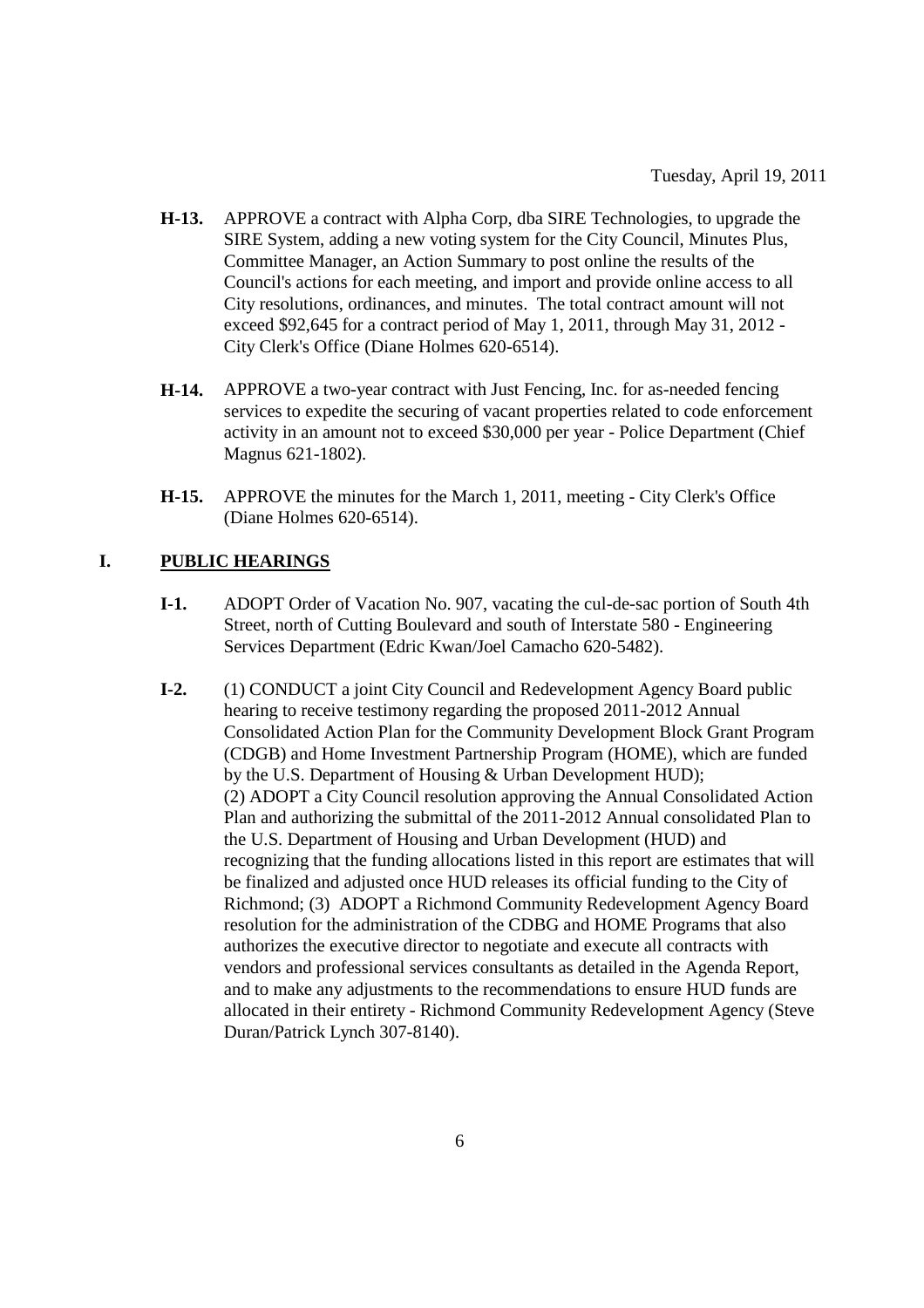- **H-13.** APPROVE a contract with Alpha Corp, dba SIRE Technologies, to upgrade the SIRE System, adding a new voting system for the City Council, Minutes Plus, Committee Manager, an Action Summary to post online the results of the Council's actions for each meeting, and import and provide online access to all City resolutions, ordinances, and minutes. The total contract amount will not exceed \$92,645 for a contract period of May 1, 2011, through May 31, 2012 - City Clerk's Office (Diane Holmes 620-6514).
- **H-14.** APPROVE a two-year contract with Just Fencing, Inc. for as-needed fencing services to expedite the securing of vacant properties related to code enforcement activity in an amount not to exceed \$30,000 per year - Police Department (Chief Magnus 621-1802).
- **H-15.** APPROVE the minutes for the March 1, 2011, meeting City Clerk's Office (Diane Holmes 620-6514).

#### **I. PUBLIC HEARINGS**

- **I-1.** ADOPT Order of Vacation No. 907, vacating the cul-de-sac portion of South 4th Street, north of Cutting Boulevard and south of Interstate 580 - Engineering Services Department (Edric Kwan/Joel Camacho 620-5482).
- **I-2.** (1) CONDUCT a joint City Council and Redevelopment Agency Board public hearing to receive testimony regarding the proposed 2011-2012 Annual Consolidated Action Plan for the Community Development Block Grant Program (CDGB) and Home Investment Partnership Program (HOME), which are funded by the U.S. Department of Housing & Urban Development HUD); (2) ADOPT a City Council resolution approving the Annual Consolidated Action Plan and authorizing the submittal of the 2011-2012 Annual consolidated Plan to the U.S. Department of Housing and Urban Development (HUD) and recognizing that the funding allocations listed in this report are estimates that will be finalized and adjusted once HUD releases its official funding to the City of Richmond; (3) ADOPT a Richmond Community Redevelopment Agency Board resolution for the administration of the CDBG and HOME Programs that also authorizes the executive director to negotiate and execute all contracts with vendors and professional services consultants as detailed in the Agenda Report, and to make any adjustments to the recommendations to ensure HUD funds are allocated in their entirety - Richmond Community Redevelopment Agency (Steve Duran/Patrick Lynch 307-8140).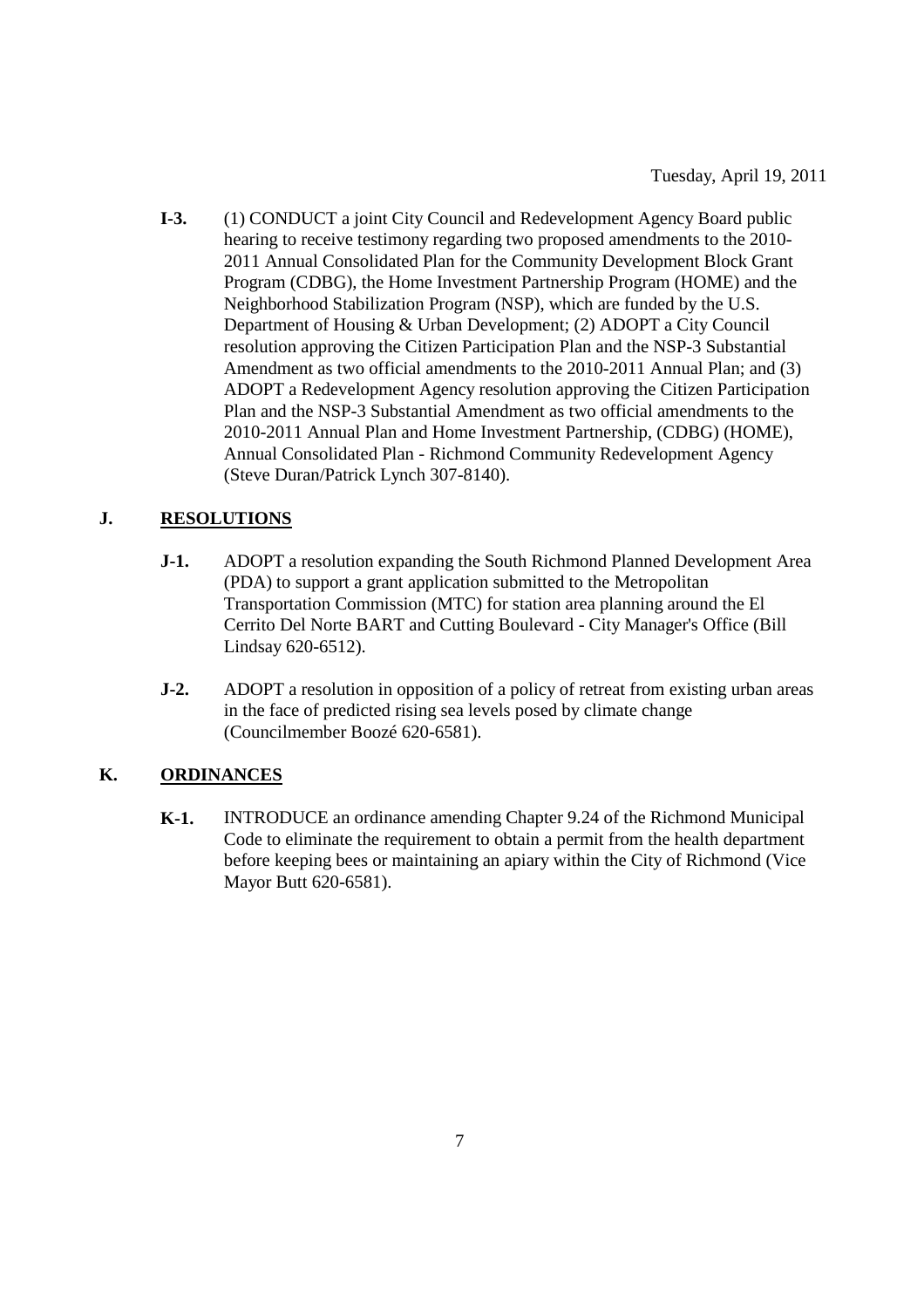**I-3.** (1) CONDUCT a joint City Council and Redevelopment Agency Board public hearing to receive testimony regarding two proposed amendments to the 2010- 2011 Annual Consolidated Plan for the Community Development Block Grant Program (CDBG), the Home Investment Partnership Program (HOME) and the Neighborhood Stabilization Program (NSP), which are funded by the U.S. Department of Housing & Urban Development; (2) ADOPT a City Council resolution approving the Citizen Participation Plan and the NSP-3 Substantial Amendment as two official amendments to the 2010-2011 Annual Plan; and (3) ADOPT a Redevelopment Agency resolution approving the Citizen Participation Plan and the NSP-3 Substantial Amendment as two official amendments to the 2010-2011 Annual Plan and Home Investment Partnership, (CDBG) (HOME), Annual Consolidated Plan - Richmond Community Redevelopment Agency (Steve Duran/Patrick Lynch 307-8140).

# **J. RESOLUTIONS**

- **J-1.** ADOPT a resolution expanding the South Richmond Planned Development Area (PDA) to support a grant application submitted to the Metropolitan Transportation Commission (MTC) for station area planning around the El Cerrito Del Norte BART and Cutting Boulevard - City Manager's Office (Bill Lindsay 620-6512).
- **J-2.** ADOPT a resolution in opposition of a policy of retreat from existing urban areas in the face of predicted rising sea levels posed by climate change (Councilmember Boozé 620-6581).

# **K. ORDINANCES**

**K-1.** INTRODUCE an ordinance amending Chapter 9.24 of the Richmond Municipal Code to eliminate the requirement to obtain a permit from the health department before keeping bees or maintaining an apiary within the City of Richmond (Vice Mayor Butt 620-6581).